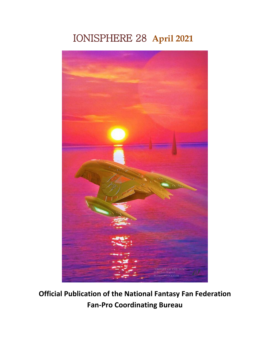## IONISPHERE 28 **April 2021**



**Official Publication of the National Fantasy Fan Federation Fan-Pro Coordinating Bureau**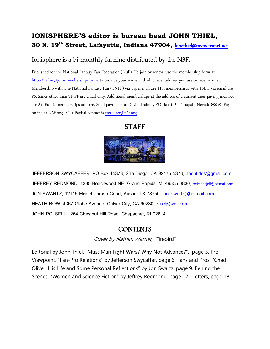### **IONISPHERE'S editor is bureau head JOHN THIEL, 30 N. 19th Street, Lafayette, Indiana 47904,** kinethiel@mymetronet.net

#### Ionisphere is a bi-monthly fanzine distributed by the N3F.

Published for the National Fantasy Fan Federation (N3F). To join or renew, use the membership form at http://n3f.org/join/membership-form/ to provide your name and whichever address you use to receive zines. Membership with The National Fantasy Fan (TNFF) via paper mail are \$18; memberships with TNFF via email are \$6. Zines other than TNFF are email only. Additional memberships at the address of a current dues-paying member are \$4. Public memberships are free. Send payments to Kevin Trainor, PO Box 143, Tonopah, Nevada 89049. Pay online at N3F.org. Our PayPal contact is treasurer@n3f.org.

#### **STAFF**



JEFFERSON SWYCAFFER, PO Box 15373, San Diego, CA 92175-5373, abontides@gmail.com JEFFREY REDMOND, 1335 Beechwood NE, Grand Rapids, MI 49505-3830, redmondjeff@hotmail.com JON SWARTZ, 12115 Missel Thrush Court, Austin, TX 78750, jon\_swartz@hotmail.com HEATH ROW, 4367 Globe Avenue, Culver City, CA 90230, kalel@well.com JOHN POLSELLI, 264 Chestnut Hill Road, Chepachet, RI 02814.

#### **CONTENTS**

Cover by Nathan Warner, 'Firebird"

Editorial by John Thiel, "Must Man Fight Wars? Why Not Advance?", page 3. Pro Viewpoint, "Fan-Pro Relations" by Jefferson Swycaffer, page 6. Fans and Pros, "Chad Oliver: His Life and Some Personal Reflections" by Jon Swartz, page 9. Behind the Scenes, "Women and Science Fiction" by Jeffrey Redmond, page 12. Letters, page 18.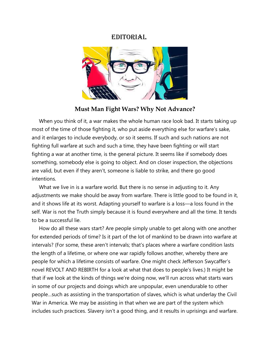#### EDITORIAL



**Must Man Fight Wars? Why Not Advance?**

 When you think of it, a war makes the whole human race look bad. It starts taking up most of the time of those fighting it, who put aside everything else for warfare's sake, and it enlarges to include everybody, or so it seems. If such and such nations are not fighting full warfare at such and such a time, they have been fighting or will start fighting a war at another time, is the general picture. It seems like if somebody does something, somebody else is going to object. And on closer inspection, the objections are valid, but even if they aren't, someone is liable to strike, and there go good intentions.

 What we live in is a warfare world. But there is no sense in adjusting to it. Any adjustments we make should be away from warfare. There is little good to be found in it, and it shows life at its worst. Adapting yourself to warfare is a loss—a loss found in the self. War is not the Truth simply because it is found everywhere and all the time. It tends to be a successful lie.

 How do all these wars start? Are people simply unable to get along with one another for extended periods of time? Is it part of the lot of mankind to be drawn into warfare at intervals? (For some, these aren't intervals; that's places where a warfare condition lasts the length of a lifetime, or where one war rapidly follows another, whereby there are people for which a lifetime consists of warfare. One might check Jefferson Swycaffer's novel REVOLT AND REBIRTH for a look at what that does to people's lives.) It might be that if we look at the kinds of things we're doing now, we'll run across what starts wars in some of our projects and doings which are unpopular, even unendurable to other people…such as assisting in the transportation of slaves, which is what underlay the Civil War in America. We may be assisting in that when we are part of the system which includes such practices. Slavery isn't a good thing, and it results in uprisings and warfare.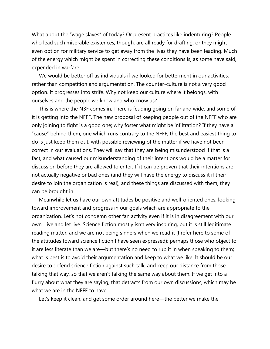What about the "wage slaves" of today? Or present practices like indenturing? People who lead such miserable existences, though, are all ready for drafting, or they might even option for military service to get away from the lives they have been leading. Much of the energy which might be spent in correcting these conditions is, as some have said, expended in warfare.

 We would be better off as individuals if we looked for betterment in our activities, rather than competition and argumentation. The counter-culture is not a very good option. It progresses into strife. Why not keep our culture where it belongs, with ourselves and the people we know and who know us?

 This is where the N3F comes in. There is feuding going on far and wide, and some of it is getting into the NFFF. The new proposal of keeping people out of the NFFF who are only joining to fight is a good one; why foster what might be infiltration? If they have a "cause" behind them, one which runs contrary to the NFFF, the best and easiest thing to do is just keep them out, with possible reviewing of the matter if we have not been correct in our evaluations. They will say that they are being misunderstood if that is a fact, and what caused our misunderstanding of their intentions would be a matter for discussion before they are allowed to enter. If it can be proven that their intentions are not actually negative or bad ones (and they will have the energy to discuss it if their desire to join the organization is real), and these things are discussed with them, they can be brought in.

 Meanwhile let us have our own attitudes be positive and well-oriented ones, looking toward improvement and progress in our goals which are appropriate to the organization. Let's not condemn other fan activity even if it is in disagreement with our own. Live and let live. Science fiction mostly isn't very inspiring, but it is still legitimate reading matter, and we are not being sinners when we read it (I refer here to some of the attitudes toward science fiction I have seen expressed); perhaps those who object to it are less literate than we are—but there's no need to rub it in when speaking to them; what is best is to avoid their argumentation and keep to what we like. It should be our desire to defend science fiction against such talk, and keep our distance from those talking that way, so that we aren't talking the same way about them. If we get into a flurry about what they are saying, that detracts from our own discussions, which may be what we are in the NFFF to have.

Let's keep it clean, and get some order around here—the better we make the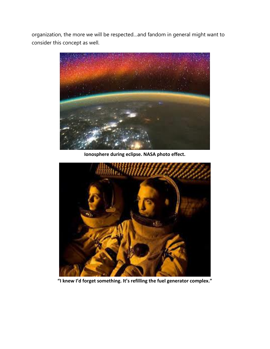organization, the more we will be respected…and fandom in general might want to consider this concept as well.



**Ionosphere during eclipse. NASA photo effect.**



**"I knew I'd forget something. It's refilling the fuel generator complex."**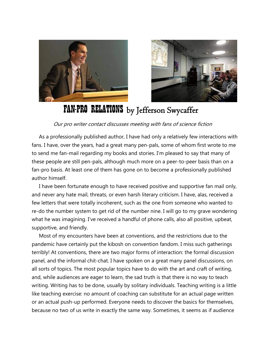



# FAN-PRO RELATIONS by Jefferson Swycaffer

Our pro writer contact discusses meeting with fans of science fiction

 As a professionally published author, I have had only a relatively few interactions with fans. I have, over the years, had a great many pen-pals, some of whom first wrote to me to send me fan-mail regarding my books and stories. I'm pleased to say that many of these people are still pen-pals, although much more on a peer-to-peer basis than on a fan-pro basis. At least one of them has gone on to become a professionally published author himself.

 I have been fortunate enough to have received positive and supportive fan mail only, and never any hate mail, threats, or even harsh literary criticism. I have, alas, received a few letters that were totally incoherent, such as the one from someone who wanted to re-do the number system to get rid of the number nine. I will go to my grave wondering what he was imagining. I've received a handful of phone calls, also all positive, upbeat, supportive, and friendly.

 Most of my encounters have been at conventions, and the restrictions due to the pandemic have certainly put the kibosh on convention fandom. I miss such gatherings terribly! At conventions, there are two major forms of interaction: the formal discussion panel, and the informal chit-chat. I have spoken on a great many panel discussions, on all sorts of topics. The most popular topics have to do with the art and craft of writing, and, while audiences are eager to learn, the sad truth is that there is no way to teach writing. Writing has to be done, usually by solitary individuals. Teaching writing is a little like teaching exercise: no amount of coaching can substitute for an actual page written or an actual push-up performed. Everyone needs to discover the basics for themselves, because no two of us write in exactly the same way. Sometimes, it seems as if audience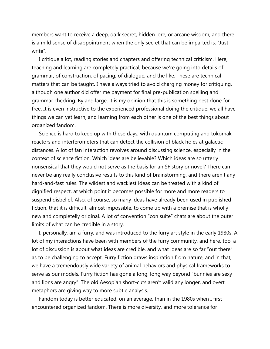members want to receive a deep, dark secret, hidden lore, or arcane wisdom, and there is a mild sense of disappointment when the only secret that can be imparted is: "Just write".

 I critique a lot, reading stories and chapters and offering technical criticism. Here, teaching and learning are completely practical, because we're going into details of grammar, of construction, of pacing, of dialogue, and the like. These are technical matters that can be taught. I have always tried to avoid charging money for critiquing, although one author did offer me payment for final pre-publication spelling and grammar checking. By and large, it is my opinion that this is something best done for free. It is even instructive to the experienced professional doing the critique: we all have things we can yet learn, and learning from each other is one of the best things about organized fandom.

 Science is hard to keep up with these days, with quantum computing and tokomak reactors and interferometers that can detect the collision of black holes at galactic distances. A lot of fan interaction revolves around discussing science, especially in the context of science fiction. Which ideas are believable? Which ideas are so utterly nonsensical that they would not serve as the basis for an SF story or novel? There can never be any really conclusive results to this kind of brainstorming, and there aren't any hard-and-fast rules. The wildest and wackiest ideas can be treated with a kind of dignified respect, at which point it becomes possible for more and more readers to suspend disbelief. Also, of course, so many ideas have already been used in published fiction, that it is difficult, almost impossible, to come up with a premise that is wholly new and completelly original. A lot of convention "con suite" chats are about the outer limits of what can be credible in a story.

 I, personally, am a furry, and was introduced to the furry art style in the early 1980s. A lot of my interactions have been with members of the furry community, and here, too, a lot of discussion is about what ideas are credible, and what ideas are so far "out there" as to be challenging to accept. Furry fiction draws inspiration from nature, and in that, we have a tremendously wide variety of animal behaviors and physical frameworks to serve as our models. Furry fiction has gone a long, long way beyond "bunnies are sexy and lions are angry". The old Aesopian short-cuts aren't valid any longer, and overt metaphors are giving way to more subtle analysis.

 Fandom today is better educated, on an average, than in the 1980s when I first encountered organized fandom. There is more diversity, and more tolerance for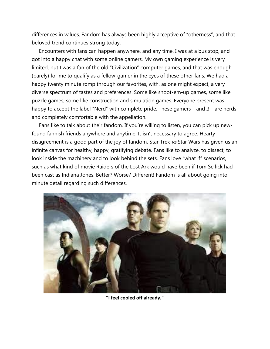differences in values. Fandom has always been highly acceptive of "otherness", and that beloved trend continues strong today.

 Encounters with fans can happen anywhere, and any time. I was at a bus stop, and got into a happy chat with some online gamers. My own gaming experience is very limited, but I was a fan of the old "Civilization" computer games, and that was enough (barely) for me to qualify as a fellow-gamer in the eyes of these other fans. We had a happy twenty minute romp through our favorites, with, as one might expect, a very diverse spectrum of tastes and preferences. Some like shoot-em-up games, some like puzzle games, some like construction and simulation games. Everyone present was happy to accept the label "Nerd" with complete pride. These gamers—and I!—are nerds and completely comfortable with the appellation.

 Fans like to talk about their fandom. If you're willing to listen, you can pick up newfound fannish friends anywhere and anytime. It isn't necessary to agree. Hearty disagreement is a good part of the joy of fandom. Star Trek  $\nu s$  Star Wars has given us an infinite canvas for healthy, happy, gratifying debate. Fans like to analyze, to dissect, to look inside the machinery and to look behind the sets. Fans love "what if" scenarios, such as what kind of movie Raiders of the Lost Ark would have been if Tom Sellick had been cast as Indiana Jones. Better? Worse? Different! Fandom is all about going into minute detail regarding such differences.



**"I feel cooled off already."**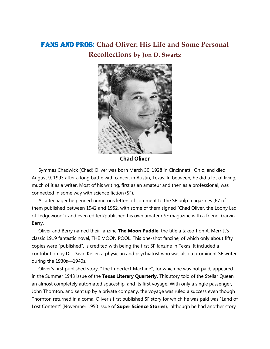### FANS AND PROS: **Chad Oliver: His Life and Some Personal Recollections by Jon D. Swartz**



**Chad Oliver**

 Symmes Chadwick (Chad) Oliver was born March 30, 1928 in Cincinnatti, Ohio, and died August 9, 1993 after a long battle with cancer, in Austin, Texas. In between, he did a lot of living, much of it as a writer. Most of his writing, first as an amateur and then as a professional, was connected in some way with science fiction (SF).

 As a teenager he penned numerous letters of comment to the SF pulp magazines (67 of them published between 1942 and 1952, with some of them signed "Chad Oliver, the Loony Lad of Ledgewood"), and even edited/published his own amateur SF magazine with a friend, Garvin Berry.

 Oliver and Berry named their fanzine **The Moon Puddle**, the title a takeoff on A. Merritt's classic 1919 fantastic novel, THE MOON POOL. This one-shot fanzine, of which only about fifty copies were "published", is credited with being the first SF fanzine in Texas. It included a contribution by Dr. David Keller, a physician and psychiatrist who was also a prominent SF writer during the 1930s—1940s.

 Oliver's first published story, "The Imperfect Machine", for which he was not paid, appeared in the Summer 1948 issue of the **Texas Literary Quarterly.** This story told of the Stellar Queen, an almost completely automated spaceship, and its first voyage. With only a single passenger, John Thornton, and sent up by a private company, the voyage was ruled a success even though Thornton returned in a coma. Oliver's first published SF story for which he was paid was "Land of Lost Content" (November 1950 issue of **Super Science Stories**), although he had another story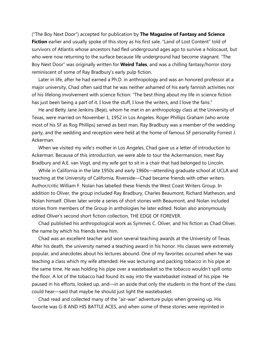("The Boy Next Door") accepted for publication by **The Magazine of Fantasy and Science Fiction** earlier and usually spoke of this story as his first sale. "Land of Lost Content" told of survivors of Atlantis whose ancestors had fled underground ages ago to survive a holocaust, but who were now returning to the surface because life underground had become stagnant. "The Boy Next Door" was originally written for **Weird Tales**, and was a chilling fantasy/horror story reminiscent of some of Ray Bradbury's early pulp fiction.

 Later in life, after he had earned a Ph.D. in anthropology and was an honored professor at a major university, Chad often said that he was neither ashamed of his early fannish activities nor of his lifelong involvement with science fiction: "The best thing about my life in science fiction has just been being a part of it. I love the stuff, I love the writers, and I love the fans."

 He and Betty Jane Jenkins (Beje), whom he met in an anthropology class at the University of Texas, were married on November 1, 1952 in Los Angeles. Roger Phillips Graham (who wrote most of his SF as Rog Phillips) served as best man, Ray Bradbury was a member of the wedding party, and the wedding and reception were held at the home of famous SF personality Forrest J. Ackerman.

 When we visited my wife's mother in Los Angeles, Chad gave us a letter of introduction to Ackerman. Because of this introduction, we were able to tour the Ackermansion, meet Ray Bradbury and A.E. van Vogt, and my wife got to sit in a chair that had belonged to Lincoln.

 While in California in the late 1950s and early 1960s—attending graduate school at UCLA and teaching at the University of California, Riverside—Chad became friends with other writers. Author/critic William F. Nolan has labelled these friends the West Coast Writers Group. In addition to Oliver, the group included Ray Bradbury, Charles Beaumont, Richard Matheson, and Nolan himself. Oliver later wrote a series of short stories with Beaumont, and Nolan included stories from members of the Group in anthologies he later edited. Nolan also anonymously edited Oliver's second short fiction collection, THE EDGE OF FOREVER.

 Chad published his anthropological work as Symmes C. Oliver, and his fiction as Chad Oliver, the name by which his friends knew him.

 Chad was an excellent teacher and won several teaching awards at the University of Texas. After his death, the university named a teaching award in his honor. His classes were extremely popular, and anecdotes about his lectures abound. One of my favorites occurred when he was teaching a class which my wife attended. He was lecturing and packing tobacco in his pipe at the same time. He was holding his pipe over a wastebasket so the tobacco wouldn't spill onto the floor. A lot of the tobacco had found its way into the wastebasket instead of his pipe. He paused in his efforts, looked up, and—in an aside that only the students in the front of the class could hear—said that maybe he should just light the wastebasket.

 Chad read and collected many of the "air-war" adventure pulps when growing up. His favorite was G-8 AND HIS BATTLE ACES, and when some of these stories were reprinted in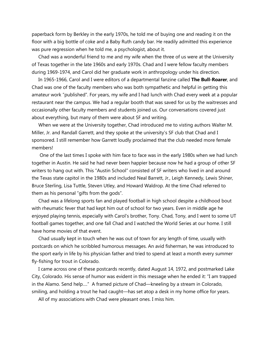paperback form by Berkley in the early 1970s, he told me of buying one and reading it on the floor with a big bottle of coke and a Baby Ruth candy bar. He readily admitted this experience was pure regression when he told me, a psychologist, about it.

 Chad was a wonderful friend to me and my wife when the three of us were at the University of Texas together in the late 1960s and early 1970s. Chad and I were fellow faculty members during 1969-1974, and Carol did her graduate work in anthropology under his direction.

 In 1965-1966, Carol and I were editors of a departmental fanzine called **The Bull-Roarer**, and Chad was one of the faculty members who was both sympathetic and helpful in getting this amateur work "published". For years, my wife and I had lunch with Chad every week at a popular restaurant near the campus. We had a regular booth that was saved for us by the waitresses and occasionally other faculty members and students joined us. Our conversations covered just about everything, but many of them were about SF and writing.

 When we were at the University together, Chad introduced me to visting authors Walter M. Miller, Jr. and Randall Garrett, and they spoke at the university's SF club that Chad and I sponsored. I still remember how Garrett loudly proclaimed that the club needed more female members!

 One of the last times I spoke with him face to face was in the early 1980s when we had lunch together in Austin. He said he had never been happier because now he had a group of other SF writers to hang out with. This "Austin School" consisted of SF writers who lived in and around the Texas state capitol in the 1980s and included Neal Barrett, Jr., Leigh Kennedy, Lewis Shiner, Bruce Sterling, Lisa Tuttle, Steven Utley, and Howard Waldrop. At the time Chad referred to them as his personal "gifts from the gods".

 Chad was a lifelong sports fan and played football in high school despite a childhood bout with rheumatic fever that had kept him out of school for two years. Even in middle age he enjoyed playing tennis, especially with Carol's brother, Tony. Chad, Tony, and I went to some UT football games together, and one fall Chad and I watched the World Series at our home. I still have home movies of that event.

 Chad usually kept in touch when he was out of town for any length of time, usually with postcards on which he scribbled humorous messages. An avid fisherman, he was introduced to the sport early in life by his physician father and tried to spend at least a month every summer fly-fishing for trout in Colorado.

 I came across one of these postcards recently, dated August 14, 1972, and postmarked Lake City, Colorado. His sense of humor was evident in this message when he ended it: "I am trapped in the Alamo. Send help…." A framed picture of Chad—kneeling by a stream in Colorado, smiling, and holding a trout he had caught—has set atop a desk in my home office for years.

All of my associations with Chad were pleasant ones. I miss him.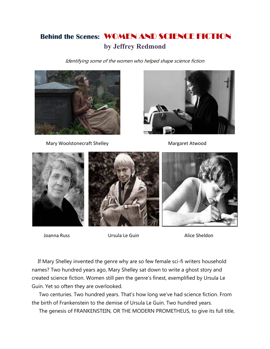## **Behind the Scenes:** WOMEN AND SCIENCE FICTION **by Jeffrey Redmond**

Identifying some of the women who helped shape science fiction



Mary Woolstonecraft Shelley Margaret Atwood





Joanna Russ **International Communist Communist Ursula Le Guin** Alice Sheldon

 If Mary Shelley invented the genre why are so few female sci-fi writers household names? Two hundred years ago, Mary Shelley sat down to write a ghost story and created science fiction. Women still pen the genre's finest, exemplified by Ursula Le Guin. Yet so often they are overlooked.

 Two centuries. Two hundred years. That's how long we've had science fiction. From the birth of Frankenstein to the demise of Ursula Le Guin. Two hundred years.

The genesis of FRANKENSTEIN, OR THE MODERN PROMETHEUS, to give its full title,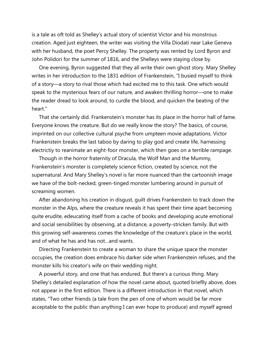is a tale as oft told as Shelley's actual story of scientist Victor and his monstrous creation. Aged just eighteen, the writer was visiting the Villa Diodati near Lake Geneva with her husband, the poet Percy Shelley. The property was rented by Lord Byron and John Polidori for the summer of 1816, and the Shelleys were staying close by.

 One evening, Byron suggested that they all write their own ghost story. Mary Shelley writes in her introduction to the 1831 edition of Frankenstein, "I busied myself to think of a story—a story to rival those which had excited me to this task. One which would speak to the mysterious fears of our nature, and awaken thrilling horror—one to make the reader dread to look around, to curdle the blood, and quicken the beating of the heart."

 That she certainly did. Frankenstein's monster has its place in the horror hall of fame. Everyone knows the creature. But do we really know the story? The basics, of course, imprinted on our collective cultural psyche from umpteen movie adaptations. Victor Frankenstein breaks the last taboo by daring to play god and create life, harnessing electrictiy to reanimate an eight-foor monster, which then goes on a terrible rampage.

 Though in the horror fraternity of Dracula, the Wolf Man and the Mummy, Frankenstein's monster is completely science fiction, created by science, not the supernatural. And Mary Shelley's novel is far more nuanced than the cartoonish image we have of the bolt-necked, green-tinged monster lumbering around in pursuit of screaming women.

 After abandoning his creation in disgust, guilt drives Frankenstein to track down the monster in the Alps, where the creature reveals it has spent their time apart becoming quite erudite, edeucating itself from a cache of books and developing acute emotional and social sensibilities by observing, at a distance, a poverty-stricken family. But with this growing self-awareness comes the knowledge of the creature's place in the world, and of what he has and has not…and wants.

 Directing Frankenstein to create a woman to share the unique space the monster occupies, the creation does embrace his darker side when Frankenstein refuses, and the monster kills his creator's wife on their wedding night.

 A powerful story, and one that has endured. But there's a curious thing. Mary Shelley's detailed explanation of how the novel came about, quoted brieflly above, does not appear in the first edition. There is a different introduction in that novel, which states, "Two other friends (a tale from the pen of one of whom would be far more acceptable to the public than anything I can ever hope to produce) and myself agreed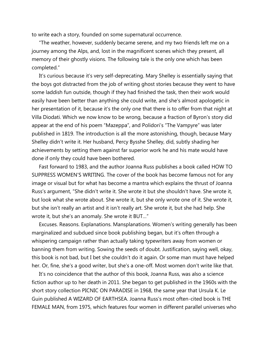to write each a story, founded on some supernatural occurrence.

 "The weather, however, suddenly became serene, and my two friends left me on a journey among the Alps, and, lost in the magnificent scenes which they present, all memory of their ghostly visions. The following tale is the only one which has been completed."

 It's curious because it's very self-deprecating. Mary Shelley is essentially saying that the boys got distracted from the job of writing ghost stories because they went to have some laddish fun outside, though if they had finished the task, then their work would easily have been better than anything she could write, and she's almost apologetic in her presentation of it, because it's the only one that there is to offer from that night at Villa Diodati. Which we now know to be wrong, because a fraction of Byron's story did appear at the end of his poem "Mazeppa", and Polidori's "The Vampyre" was later published in 1819. The introduction is all the more astonishing, though, because Mary Shelley didn't write it. Her husband, Percy Bysshe Shelley, did, subtly shading her achievements by setting them against far superior work he and his mate would have done if only they could have been bothered.

 Fast forward to 1983, and the author Joanna Russ publishes a book called HOW TO SUPPRESS WOMEN'S WRITING. The cover of the book has become famous not for any image or visual but for what has become a mantra which explains the thrust of Joanna Russ's argument, "She didn't write it. She wrote it but she shouldn't have. She wrote it, but look what she wrote about. She wrote it, but she only wrote one of it. She wrote it, but she isn't really an artist and it isn't really art. She wrote it, but she had help. She wrote it, but she's an anomaly. She wrote it BUT…"

 Excuses. Reasons. Explanations. Mansplanations. Women's writing generally has been marginalized and subdued since book publishing began, but it's often through a whispering campaign rather than actually taking typewriters away from women or banning them from writing. Sowing the seeds of doubt. Justification, saying well, okay, this book is not bad, but I bet she couldn't do it again. Or some man must have helped her. Or, fine, she's a good writer, but she's a one-off. Most women don't write like that.

 It's no coincidence that the author of this book, Joanna Russ, was also a science fiction author up to her death in 2011. She began to get published in the 1960s with the short story collection PICNIC ON PARADISE in 1968, the same year that Ursula K. Le Guin published A WIZARD OF EARTHSEA. Joanna Russ's most often-cited book is THE FEMALE MAN, from 1975, which features four women in different parallel universes who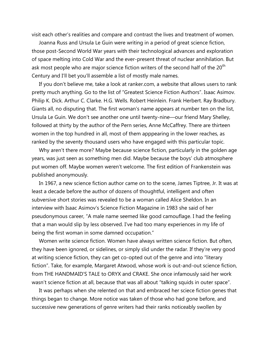visit each other's realities and compare and contrast the lives and treatment of women.

 Joanna Russ and Ursula Le Guin were writing in a period of great science fiction, those post-Second World War years with their technological advances and exploration of space melting into Cold War and the ever-present threat of nuclear annihilation. But ask most people who are major science fiction writers of the second half of the  $20<sup>th</sup>$ Century and I'll bet you'll assemble a list of mostly male names.

 If you don't believe me, take a look at ranker.com, a website that allows users to rank pretty much anything. Go to the list of "Greatest Science Fiction Authors". Isaac Asimov. Philip K. Dick. Arthur C. Clarke. H.G. Wells. Robert Heinlein. Frank Herbert. Ray Bradbury. Giants all, no disputing that. The first woman's name appears at number ten on the list, Ursula Le Guin. We don't see another one until twenty-nine—our friend Mary Shelley, followed at thirty by the author of the Pern series, Anne McCaffrey. There are thirteen women in the top hundred in all, most of them apppearing in the lower reaches, as ranked by the seventy thousand users who have engaged with this particular topic.

 Why aren't there more? Maybe because science fiction, particularly in the golden age years, was just seen as something men did. Maybe because the boys' club atmosphere put women off. Maybe women weren't welcome. The first edition of Frankenstein was published anonymously.

 In 1967, a new science fiction author came on to the scene, James Tiptree, Jr. It was at least a decade before the author of dozens of thoughtful, intelligent and often subversive short stories was revealed to be a woman called Alice Sheldon. In an interview with Isaac Asimov's Science Fiction Magazine in 1983 she said of her pseudonymous career, "A male name seemed like good camouflage. I had the feeling that a man would slip by less observed. I've had too many experiences in my life of being the first woman in some damned occupation."

 Women write science fiction. Women have always written science fiction. But often, they have been ignored, or sidelines, or simply slid under the radar. If they're very good at writing science fiction, they can get co-opted out of the genre and into "literary fiction". Take, for example, Margaret Atwood, whose work is out-and-out science fiction, from THE HANDMAID'S TALE to ORYX and CRAKE. She once infamously said her work wasn't science fiction at all, because that was all about "talking squids in outer space".

 It was perhaps when she relented on that and embraced her sciece fiction genes that things began to change. More notice was taken of those who had gone before, and successive new generations of genre writers had their ranks noticeably swollen by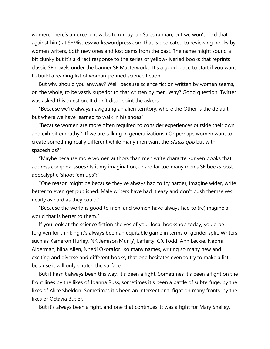women. There's an excellent website run by Ian Sales (a man, but we won't hold that against him) at SFMistressworks.wordpress.com that is dedicated to reviewing books by women writers, both new ones and lost gems from the past. The name might sound a bit clunky but it's a direct response to the series of yellow-liveried books that reprints classic SF novels under the banner SF Masterworks. It's a good place to start if you want to build a reading list of woman-penned science fiction.

 But why should you anyway? Well, because science fiction written by women seems, on the whole, to be vastly superior to that written by men. Why? Good question. Twitter was asked this question. It didn't disappoint the askers.

 "Because we're always navigating an alien territory, where the Other is the default, but where we have learned to walk in his shoes".

 "Because women are more often required to consider experiences outside their own and exhibit empathy? (If we are talking in generalizations.) Or perhaps women want to create something really different while many men want the *status quo* but with spaceships?"

 "Maybe because more women authors than men write character-driven books that address complex issues? Is it my imagination, or are far too many men's SF books postapocalyptic 'shoot 'em ups'?"

 "One reason might be because they've always had to try harder, imagine wider, write better to even get published. Male writers have had it easy and don't push themselves nearly as hard as they could."

 "Because the world is good to men, and women have always had to (re)imagine a world that is better to them."

 If you look at the science fiction shelves of your local bookshop today, you'd be forgiven for thinking it's always been an equitable game in terms of gender split. Writers such as Kameron Hurley, NK Jemison,Mur [?] Lafferty, GX Todd, Ann Leckie, Naomi Alderman, Nina Allen, Nnedi Okorafor…so many names, writing so many new and exciting and diverse and different books, that one hesitates even to try to make a list because it will only scratch the surface.

 But it hasn't always been this way, it's been a fight. Sometimes it's been a fight on the front lines by the likes of Joanna Russ, sometimes it's been a battle of subterfuge, by the likes of Alice Sheldon. Sometimes it's been an intersectional fight on many fronts, by the likes of Octavia Butler.

But it's always been a fight, and one that continues. It was a fight for Mary Shelley,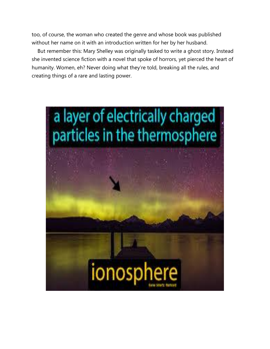too, of course, the woman who created the genre and whose book was published without her name on it with an introduction written for her by her husband.

 But remember this: Mary Shelley was originally tasked to write a ghost story. Instead she invented science fiction with a novel that spoke of horrors, yet pierced the heart of humanity. Women, eh? Never doing what they're told, breaking all the rules, and creating things of a rare and lasting power.

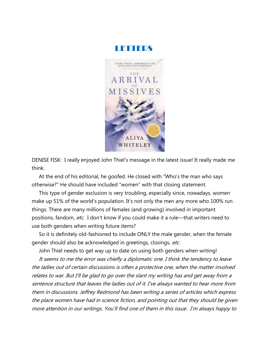

DENISE FISK: I really enjoyed John Thiel's message in the latest issue! It really made me think.

 At the end of his editorial, he goofed. He closed with "Who's the man who says otherwise?" He should have included "women" with that closing statement.

 This type of gender exclusion is very troubling, especially since, nowadays, women make up 51% of the world's population. It's not only the men any more who 100% run things. There are many millions of females (and growing) involved in important positions, fandom, etc. I don't know if you could make it a rule—that writers need to use both genders when writing future items?

 So it is definitely old-fashioned to include ONLY the male gender, when the female gender should also be acknowledged in greetings, closings, etc.

John Thiel needs to get way up to date on using both genders when writing!

 It seems to me the error was chiefly a diplomatic one. I think the tendency to leave the ladies out of certain discussions is often a protective one, when the matter involved relates to war. But I'll be glad to go over the slant my writing has and get away from a sentence structure that leaves the ladies out of it. I've always wanted to hear more from them in discussions. Jeffrey Redmond has been writing a series of articles which express the place women have had in science fiction, and pointing out that they should be given more attention in our writings. You'll find one of them in this issue. I'm always happy to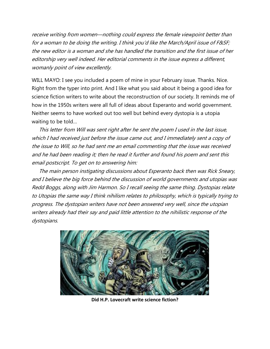receive writing from women—nothing could express the female viewpoint better than for a woman to be doing the writing. I think you'd like the March/April issue of F&SF; the new editor is a woman and she has handled the transition and the first issue of her editorship very well indeed. Her editorial comments in the issue express a different, womanly point of view excellently.

WILL MAYO: I see you included a poem of mine in your February issue. Thanks. Nice. Right from the typer into print. And I like what you said about it being a good idea for science fiction writers to write about the reconstruction of our society. It reminds me of how in the 1950s writers were all full of ideas about Esperanto and world government. Neither seems to have worked out too well but behind every dystopia is a utopia waiting to be told…

 This letter from Will was sent right after he sent the poem I used in the last issue, which I had received just before the issue came out, and I immediately sent a copy of the issue to Will, so he had sent me an email commenting that the issue was received and he had been reading it; then he read it further and found his poem and sent this email postscript. To get on to answering him:

 The main person instigating discussions about Esperanto back then was Rick Sneary, and I believe the big force behind the discussion of world governments and utopias was Redd Boggs, along with Jim Harmon. So I recall seeing the same thing. Dystopias relate to Utopias the same way I think nihilism relates to philosophy, which is typically trying to progress. The dystopian writers have not been answered very well, since the utopian writers already had their say and paid little attention to the nihilistic response of the dystopians.



**Did H.P. Lovecraft write science fiction?**